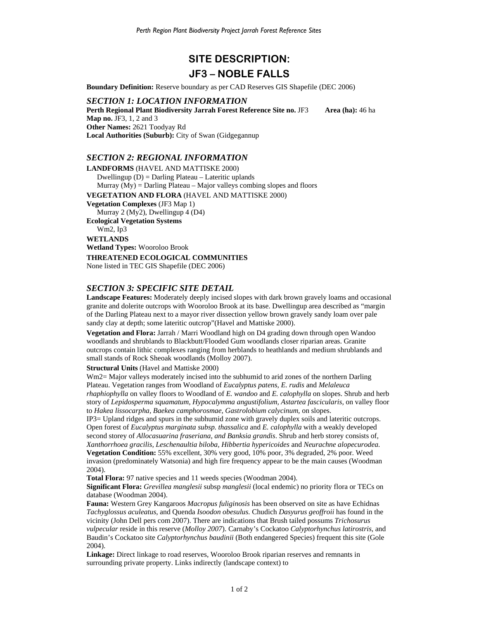# **SITE DESCRIPTION: JF3 – NOBLE FALLS**

**Boundary Definition:** Reserve boundary as per CAD Reserves GIS Shapefile (DEC 2006)

*SECTION 1: LOCATION INFORMATION*  **Perth Regional Plant Biodiversity Jarrah Forest Reference Site no. JF3 Area (ha): 46 ha Map no.** JF3, 1, 2 and 3 **Other Names:** 2621 Toodyay Rd **Local Authorities (Suburb):** City of Swan (Gidgegannup

#### *SECTION 2: REGIONAL INFORMATION*

**LANDFORMS** (HAVEL AND MATTISKE 2000) Dwellingup (D) = Darling Plateau – Lateritic uplands Murray  $(My) =$  Darling Plateau – Major valleys combing slopes and floors **VEGETATION AND FLORA** (HAVEL AND MATTISKE 2000) **Vegetation Complexes** (JF3 Map 1) Murray 2 (My2), Dwellingup 4 (D4) **Ecological Vegetation Systems**  Wm2, Ip3 **WETLANDS Wetland Types:** Wooroloo Brook **THREATENED ECOLOGICAL COMMUNITIES**  None listed in TEC GIS Shapefile (DEC 2006)

## *SECTION 3: SPECIFIC SITE DETAIL*

**Landscape Features:** Moderately deeply incised slopes with dark brown gravely loams and occasional granite and dolerite outcrops with Wooroloo Brook at its base. Dwellingup area described as "margin of the Darling Plateau next to a mayor river dissection yellow brown gravely sandy loam over pale sandy clay at depth; some lateritic outcrop"(Havel and Mattiske 2000).

**Vegetation and Flora:** Jarrah / Marri Woodland high on D4 grading down through open Wandoo woodlands and shrublands to Blackbutt/Flooded Gum woodlands closer riparian areas. Granite outcrops contain lithic complexes ranging from herblands to heathlands and medium shrublands and small stands of Rock Sheoak woodlands (Molloy 2007).

**Structural Units** (Havel and Mattiske 2000)

Wm2= Major valleys moderately incised into the subhumid to arid zones of the northern Darling Plateau. Vegetation ranges from Woodland of *Eucalyptus patens, E. rudis* and *Melaleuca* 

*rhaphiophylla* on valley floors to Woodland of *E. wandoo* and *E. calophylla* on slopes. Shrub and herb story of *Lepidosperma squamatum, Hypocalymma angustifolium, Astartea fascicularis,* on valley floor to *Hakea lissocarpha, Baekea camphorosmae, Gastrolobium calycinum,* on slopes.

IP3= Upland ridges and spurs in the subhumid zone with gravely duplex soils and lateritic outcrops. Open forest of *Eucalyptus marginata subsp. thassalica* and *E. calophylla* with a weakly developed second storey of *Allocasuarina fraseriana, and Banksia grandis*. Shrub and herb storey consists of*, Xanthorrhoea gracilis, Leschenaultia biloba, Hibbertia hypericoides* and *Neurachne alopecurodea.* **Vegetation Condition:** 55% excellent, 30% very good, 10% poor, 3% degraded, 2% poor. Weed

invasion (predominately Watsonia) and high fire frequency appear to be the main causes (Woodman 2004).

**Total Flora:** 97 native species and 11 weeds species (Woodman 2004).

**Significant Flora:** *Grevillea manglesii* subsp *manglesii* (local endemic) no priority flora or TECs on database (Woodman 2004).

**Fauna:** Western Grey Kangaroos *Macropus fuliginosis* has been observed on site as have Echidnas *Tachyglossus aculeatus*, and Quenda *Isoodon obesulus.* Chudich *Dasyurus geoffroii* has found in the vicinity (John Dell pers com 2007). There are indications that Brush tailed possums *Trichosurus vulpecular* reside in this reserve (*Molloy 2007*). Carnaby's Cockatoo *Calyptorhynchus latirostris*, and Baudin's Cockatoo site *Calyptorhynchus baudinii* (Both endangered Species) frequent this site (Gole 2004).

**Linkage:** Direct linkage to road reserves, Wooroloo Brook riparian reserves and remnants in surrounding private property. Links indirectly (landscape context) to